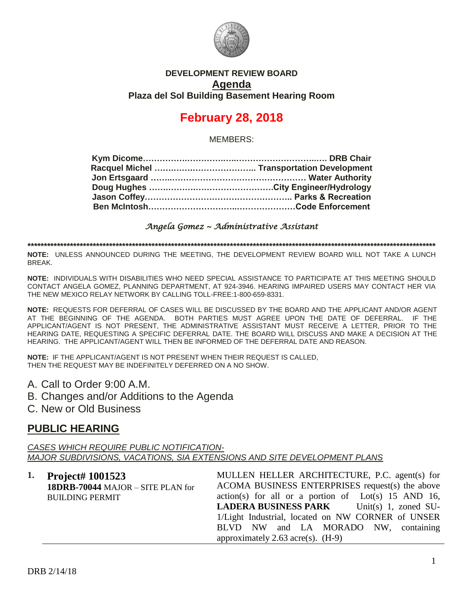

#### **DEVELOPMENT REVIEW BOARD Agenda Plaza del Sol Building Basement Hearing Room**

# **February 28, 2018**

MEMBERS:

#### *Angela Gomez ~ Administrative Assistant*

**\*\*\*\*\*\*\*\*\*\*\*\*\*\*\*\*\*\*\*\*\*\*\*\*\*\*\*\*\*\*\*\*\*\*\*\*\*\*\*\*\*\*\*\*\*\*\*\*\*\*\*\*\*\*\*\*\*\*\*\*\*\*\*\*\*\*\*\*\*\*\*\*\*\*\*\*\*\*\*\*\*\*\*\*\*\*\*\*\*\*\*\*\*\*\*\*\*\*\*\*\*\*\*\*\*\*\*\*\*\*\*\*\*\*\*\*\*\*\*\*\*\*\*\*\***

**NOTE:** UNLESS ANNOUNCED DURING THE MEETING, THE DEVELOPMENT REVIEW BOARD WILL NOT TAKE A LUNCH BREAK.

**NOTE:** INDIVIDUALS WITH DISABILITIES WHO NEED SPECIAL ASSISTANCE TO PARTICIPATE AT THIS MEETING SHOULD CONTACT ANGELA GOMEZ, PLANNING DEPARTMENT, AT 924-3946. HEARING IMPAIRED USERS MAY CONTACT HER VIA THE NEW MEXICO RELAY NETWORK BY CALLING TOLL-FREE:1-800-659-8331.

**NOTE:** REQUESTS FOR DEFERRAL OF CASES WILL BE DISCUSSED BY THE BOARD AND THE APPLICANT AND/OR AGENT AT THE BEGINNING OF THE AGENDA. BOTH PARTIES MUST AGREE UPON THE DATE OF DEFERRAL. IF THE APPLICANT/AGENT IS NOT PRESENT, THE ADMINISTRATIVE ASSISTANT MUST RECEIVE A LETTER, PRIOR TO THE HEARING DATE, REQUESTING A SPECIFIC DEFERRAL DATE. THE BOARD WILL DISCUSS AND MAKE A DECISION AT THE HEARING. THE APPLICANT/AGENT WILL THEN BE INFORMED OF THE DEFERRAL DATE AND REASON.

**NOTE:** IF THE APPLICANT/AGENT IS NOT PRESENT WHEN THEIR REQUEST IS CALLED, THEN THE REQUEST MAY BE INDEFINITELY DEFERRED ON A NO SHOW.

- A. Call to Order 9:00 A.M.
- B. Changes and/or Additions to the Agenda
- C. New or Old Business

## **PUBLIC HEARING**

*CASES WHICH REQUIRE PUBLIC NOTIFICATION-MAJOR SUBDIVISIONS, VACATIONS, SIA EXTENSIONS AND SITE DEVELOPMENT PLANS*

| 1. Project# 1001523               | MULLEN HELLER ARCHITECTURE, P.C. agent(s) for         |
|-----------------------------------|-------------------------------------------------------|
| 18DRB-70044 MAJOR - SITE PLAN for | ACOMA BUSINESS ENTERPRISES request(s) the above       |
| <b>BUILDING PERMIT</b>            | action(s) for all or a portion of $Lot(s)$ 15 AND 16, |
|                                   | <b>LADERA BUSINESS PARK</b> Unit(s) 1, zoned SU-      |
|                                   | 1/Light Industrial, located on NW CORNER of UNSER     |
|                                   | BLVD NW and LA MORADO NW, containing                  |
|                                   | approximately 2.63 acre(s). $(H-9)$                   |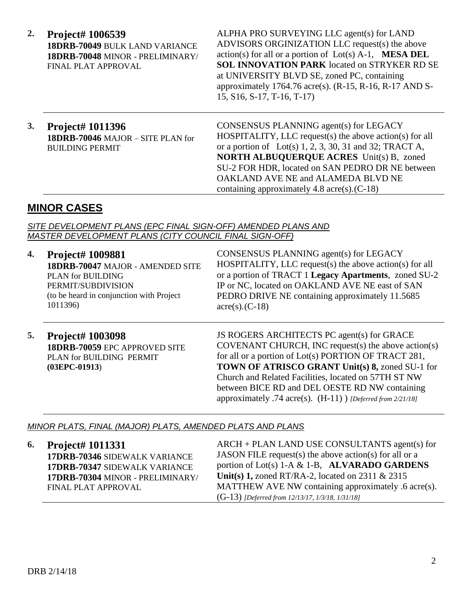**2. Project# 1006539 18DRB-70049** BULK LAND VARIANCE **18DRB-70048** MINOR - PRELIMINARY/ FINAL PLAT APPROVAL

ALPHA PRO SURVEYING LLC agent(s) for LAND ADVISORS ORGINIZATION LLC request(s) the above action(s) for all or a portion of Lot(s) A-1, **MESA DEL SOL INNOVATION PARK** located on STRYKER RD SE at UNIVERSITY BLVD SE, zoned PC, containing approximately 1764.76 acre(s). (R-15, R-16, R-17 AND S-15, S16, S-17, T-16, T-17)

## **3. Project# 1011396 18DRB-70046** MAJOR – SITE PLAN for BUILDING PERMIT

CONSENSUS PLANNING agent(s) for LEGACY HOSPITALITY, LLC request(s) the above action(s) for all or a portion of Lot(s)  $1, 2, 3, 30, 31$  and  $32$ ; TRACT A, **NORTH ALBUQUERQUE ACRES** Unit(s) B, zoned SU-2 FOR HDR, located on SAN PEDRO DR NE between OAKLAND AVE NE and ALAMEDA BLVD NE containing approximately 4.8 acre(s).(C-18)

## **MINOR CASES**

*SITE DEVELOPMENT PLANS (EPC FINAL SIGN-OFF) AMENDED PLANS AND MASTER DEVELOPMENT PLANS (CITY COUNCIL FINAL SIGN-OFF)*

- **4. Project# 1009881 18DRB-70047** MAJOR - AMENDED SITE PLAN for BUILDING PERMIT/SUBDIVISION (to be heard in conjunction with Project 1011396) CONSENSUS PLANNING agent(s) for LEGACY HOSPITALITY, LLC request(s) the above action(s) for all or a portion of TRACT 1 **Legacy Apartments**, zoned SU-2 IP or NC, located on OAKLAND AVE NE east of SAN PEDRO DRIVE NE containing approximately 11.5685  $\text{acre}(s)$ . (C-18)
- **5. Project# 1003098 18DRB-70059** EPC APPROVED SITE PLAN for BUILDING PERMIT **(03EPC-01913**)

JS ROGERS ARCHITECTS PC agent(s) for GRACE COVENANT CHURCH, INC request(s) the above action(s) for all or a portion of Lot(s) PORTION OF TRACT 281, **TOWN OF ATRISCO GRANT Unit(s) 8,** zoned SU-1 for Church and Related Facilities, located on 57TH ST NW between BICE RD and DEL OESTE RD NW containing approximately .74 acre(s). (H-11) ) *[Deferred from 2/21/18]*

### *MINOR PLATS, FINAL (MAJOR) PLATS, AMENDED PLATS AND PLANS*

**6. Project# 1011331 17DRB-70346** SIDEWALK VARIANCE **17DRB-70347** SIDEWALK VARIANCE **17DRB-70304** MINOR - PRELIMINARY/ FINAL PLAT APPROVAL

ARCH + PLAN LAND USE CONSULTANTS agent(s) for JASON FILE request(s) the above action(s) for all or a portion of Lot(s) 1-A & 1-B, **ALVARADO GARDENS Unit(s) 1,** zoned RT/RA-2, located on 2311 & 2315 MATTHEW AVE NW containing approximately .6 acre(s). (G-13) *[Deferred from 12/13/17, 1/3/18, 1/31/18]*